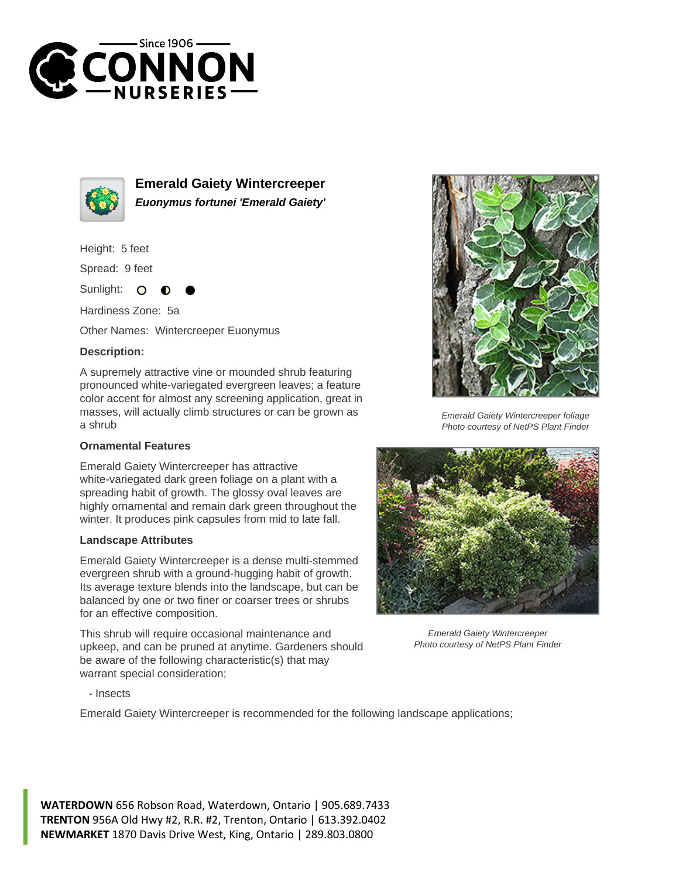



**Emerald Gaiety Wintercreeper Euonymus fortunei 'Emerald Gaiety'**

Height: 5 feet

Spread: 9 feet

Sunlight:  $\Omega$ 

Hardiness Zone: 5a

Other Names: Wintercreeper Euonymus

## **Description:**

A supremely attractive vine or mounded shrub featuring pronounced white-variegated evergreen leaves; a feature color accent for almost any screening application, great in masses, will actually climb structures or can be grown as a shrub

## **Ornamental Features**

Emerald Gaiety Wintercreeper has attractive white-variegated dark green foliage on a plant with a spreading habit of growth. The glossy oval leaves are highly ornamental and remain dark green throughout the winter. It produces pink capsules from mid to late fall.

## **Landscape Attributes**

Emerald Gaiety Wintercreeper is a dense multi-stemmed evergreen shrub with a ground-hugging habit of growth. Its average texture blends into the landscape, but can be balanced by one or two finer or coarser trees or shrubs for an effective composition.

This shrub will require occasional maintenance and upkeep, and can be pruned at anytime. Gardeners should be aware of the following characteristic(s) that may warrant special consideration;



Emerald Gaiety Wintercreeper foliage Photo courtesy of NetPS Plant Finder



Emerald Gaiety Wintercreeper Photo courtesy of NetPS Plant Finder

- Insects

Emerald Gaiety Wintercreeper is recommended for the following landscape applications;

**WATERDOWN** 656 Robson Road, Waterdown, Ontario | 905.689.7433 **TRENTON** 956A Old Hwy #2, R.R. #2, Trenton, Ontario | 613.392.0402 **NEWMARKET** 1870 Davis Drive West, King, Ontario | 289.803.0800